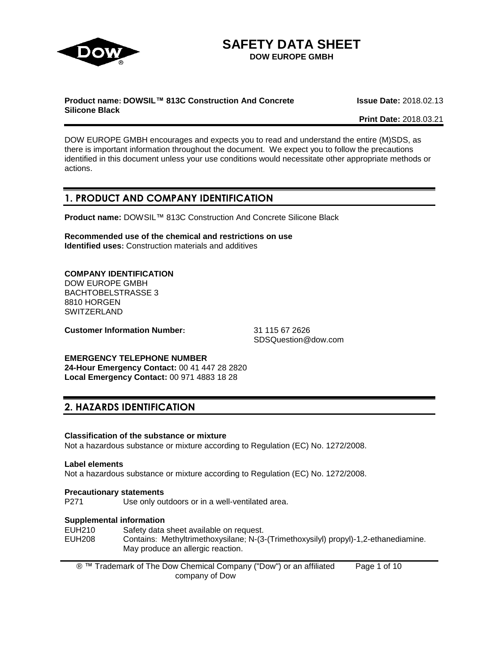

# **SAFETY DATA SHEET**

**DOW EUROPE GMBH**

#### **Product name: DOWSIL™ 813C Construction And Concrete Silicone Black**

**Issue Date:** 2018.02.13

**Print Date:** 2018.03.21

DOW EUROPE GMBH encourages and expects you to read and understand the entire (M)SDS, as there is important information throughout the document. We expect you to follow the precautions identified in this document unless your use conditions would necessitate other appropriate methods or actions.

# **1. PRODUCT AND COMPANY IDENTIFICATION**

**Product name:** DOWSIL™ 813C Construction And Concrete Silicone Black

**Recommended use of the chemical and restrictions on use Identified uses:** Construction materials and additives

#### **COMPANY IDENTIFICATION**

DOW EUROPE GMBH BACHTOBELSTRASSE 3 8810 HORGEN **SWITZERLAND** 

**Customer Information Number:** 31 115 67 2626

SDSQuestion@dow.com

#### **EMERGENCY TELEPHONE NUMBER**

**24-Hour Emergency Contact:** 00 41 447 28 2820 **Local Emergency Contact:** 00 971 4883 18 28

# **2. HAZARDS IDENTIFICATION**

#### **Classification of the substance or mixture**

Not a hazardous substance or mixture according to Regulation (EC) No. 1272/2008.

#### **Label elements**

Not a hazardous substance or mixture according to Regulation (EC) No. 1272/2008.

#### **Precautionary statements**

P271 Use only outdoors or in a well-ventilated area.

#### **Supplemental information**

EUH210 Safety data sheet available on request.<br>EUH208 Contains: Methyltrimethoxysilane: N-(3 Contains: Methyltrimethoxysilane; N-(3-(Trimethoxysilyl) propyl)-1,2-ethanediamine. May produce an allergic reaction.

® ™ Trademark of The Dow Chemical Company ("Dow") or an affiliated company of Dow Page 1 of 10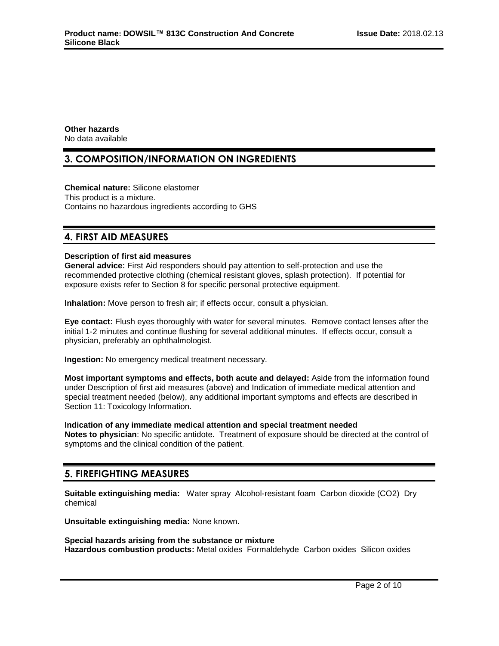**Other hazards** No data available

### **3. COMPOSITION/INFORMATION ON INGREDIENTS**

**Chemical nature:** Silicone elastomer This product is a mixture. Contains no hazardous ingredients according to GHS

### **4. FIRST AID MEASURES**

#### **Description of first aid measures**

**General advice:** First Aid responders should pay attention to self-protection and use the recommended protective clothing (chemical resistant gloves, splash protection). If potential for exposure exists refer to Section 8 for specific personal protective equipment.

**Inhalation:** Move person to fresh air; if effects occur, consult a physician.

**Eye contact:** Flush eyes thoroughly with water for several minutes. Remove contact lenses after the initial 1-2 minutes and continue flushing for several additional minutes. If effects occur, consult a physician, preferably an ophthalmologist.

**Ingestion:** No emergency medical treatment necessary.

**Most important symptoms and effects, both acute and delayed:** Aside from the information found under Description of first aid measures (above) and Indication of immediate medical attention and special treatment needed (below), any additional important symptoms and effects are described in Section 11: Toxicology Information.

**Indication of any immediate medical attention and special treatment needed Notes to physician**: No specific antidote. Treatment of exposure should be directed at the control of symptoms and the clinical condition of the patient.

### **5. FIREFIGHTING MEASURES**

**Suitable extinguishing media:** Water spray Alcohol-resistant foam Carbon dioxide (CO2) Dry chemical

**Unsuitable extinguishing media:** None known.

**Special hazards arising from the substance or mixture Hazardous combustion products:** Metal oxides Formaldehyde Carbon oxides Silicon oxides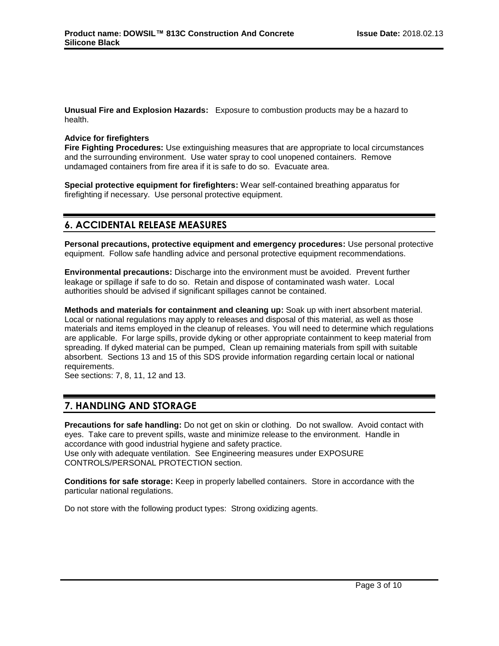**Unusual Fire and Explosion Hazards:** Exposure to combustion products may be a hazard to health.

#### **Advice for firefighters**

**Fire Fighting Procedures:** Use extinguishing measures that are appropriate to local circumstances and the surrounding environment. Use water spray to cool unopened containers. Remove undamaged containers from fire area if it is safe to do so. Evacuate area.

**Special protective equipment for firefighters:** Wear self-contained breathing apparatus for firefighting if necessary. Use personal protective equipment.

# **6. ACCIDENTAL RELEASE MEASURES**

**Personal precautions, protective equipment and emergency procedures:** Use personal protective equipment. Follow safe handling advice and personal protective equipment recommendations.

**Environmental precautions:** Discharge into the environment must be avoided. Prevent further leakage or spillage if safe to do so. Retain and dispose of contaminated wash water. Local authorities should be advised if significant spillages cannot be contained.

**Methods and materials for containment and cleaning up:** Soak up with inert absorbent material. Local or national regulations may apply to releases and disposal of this material, as well as those materials and items employed in the cleanup of releases. You will need to determine which regulations are applicable. For large spills, provide dyking or other appropriate containment to keep material from spreading. If dyked material can be pumped, Clean up remaining materials from spill with suitable absorbent. Sections 13 and 15 of this SDS provide information regarding certain local or national requirements.

See sections: 7, 8, 11, 12 and 13.

### **7. HANDLING AND STORAGE**

**Precautions for safe handling:** Do not get on skin or clothing. Do not swallow. Avoid contact with eyes. Take care to prevent spills, waste and minimize release to the environment. Handle in accordance with good industrial hygiene and safety practice. Use only with adequate ventilation. See Engineering measures under EXPOSURE CONTROLS/PERSONAL PROTECTION section.

**Conditions for safe storage:** Keep in properly labelled containers. Store in accordance with the particular national regulations.

Do not store with the following product types: Strong oxidizing agents.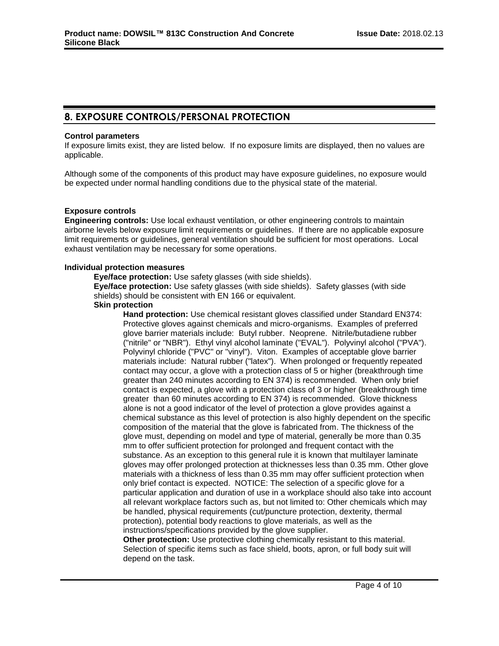# **8. EXPOSURE CONTROLS/PERSONAL PROTECTION**

#### **Control parameters**

If exposure limits exist, they are listed below. If no exposure limits are displayed, then no values are applicable.

Although some of the components of this product may have exposure guidelines, no exposure would be expected under normal handling conditions due to the physical state of the material.

#### **Exposure controls**

**Engineering controls:** Use local exhaust ventilation, or other engineering controls to maintain airborne levels below exposure limit requirements or guidelines. If there are no applicable exposure limit requirements or guidelines, general ventilation should be sufficient for most operations. Local exhaust ventilation may be necessary for some operations.

#### **Individual protection measures**

**Eye/face protection:** Use safety glasses (with side shields).

**Eye/face protection:** Use safety glasses (with side shields). Safety glasses (with side shields) should be consistent with EN 166 or equivalent.

#### **Skin protection**

**Hand protection:** Use chemical resistant gloves classified under Standard EN374: Protective gloves against chemicals and micro-organisms. Examples of preferred glove barrier materials include: Butyl rubber. Neoprene. Nitrile/butadiene rubber ("nitrile" or "NBR"). Ethyl vinyl alcohol laminate ("EVAL"). Polyvinyl alcohol ("PVA"). Polyvinyl chloride ("PVC" or "vinyl"). Viton. Examples of acceptable glove barrier materials include: Natural rubber ("latex"). When prolonged or frequently repeated contact may occur, a glove with a protection class of 5 or higher (breakthrough time greater than 240 minutes according to EN 374) is recommended. When only brief contact is expected, a glove with a protection class of 3 or higher (breakthrough time greater than 60 minutes according to EN 374) is recommended. Glove thickness alone is not a good indicator of the level of protection a glove provides against a chemical substance as this level of protection is also highly dependent on the specific composition of the material that the glove is fabricated from. The thickness of the glove must, depending on model and type of material, generally be more than 0.35 mm to offer sufficient protection for prolonged and frequent contact with the substance. As an exception to this general rule it is known that multilayer laminate gloves may offer prolonged protection at thicknesses less than 0.35 mm. Other glove materials with a thickness of less than 0.35 mm may offer sufficient protection when only brief contact is expected. NOTICE: The selection of a specific glove for a particular application and duration of use in a workplace should also take into account all relevant workplace factors such as, but not limited to: Other chemicals which may be handled, physical requirements (cut/puncture protection, dexterity, thermal protection), potential body reactions to glove materials, as well as the instructions/specifications provided by the glove supplier.

**Other protection:** Use protective clothing chemically resistant to this material. Selection of specific items such as face shield, boots, apron, or full body suit will depend on the task.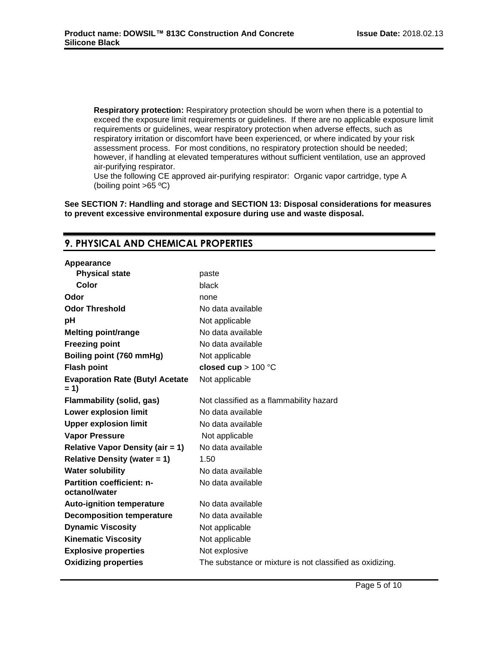**Respiratory protection:** Respiratory protection should be worn when there is a potential to exceed the exposure limit requirements or guidelines. If there are no applicable exposure limit requirements or guidelines, wear respiratory protection when adverse effects, such as respiratory irritation or discomfort have been experienced, or where indicated by your risk assessment process. For most conditions, no respiratory protection should be needed; however, if handling at elevated temperatures without sufficient ventilation, use an approved air-purifying respirator.

Use the following CE approved air-purifying respirator: Organic vapor cartridge, type A (boiling point >65 ºC)

**See SECTION 7: Handling and storage and SECTION 13: Disposal considerations for measures to prevent excessive environmental exposure during use and waste disposal.**

# **9. PHYSICAL AND CHEMICAL PROPERTIES**

| Appearance                                        |                                                          |
|---------------------------------------------------|----------------------------------------------------------|
| <b>Physical state</b>                             | paste                                                    |
| Color                                             | black                                                    |
| Odor                                              | none                                                     |
| <b>Odor Threshold</b>                             | No data available                                        |
| рH                                                | Not applicable                                           |
| <b>Melting point/range</b>                        | No data available                                        |
| <b>Freezing point</b>                             | No data available                                        |
| Boiling point (760 mmHg)                          | Not applicable                                           |
| <b>Flash point</b>                                | closed cup $> 100$ °C                                    |
| <b>Evaporation Rate (Butyl Acetate)</b><br>$= 1$  | Not applicable                                           |
| <b>Flammability (solid, gas)</b>                  | Not classified as a flammability hazard                  |
| <b>Lower explosion limit</b>                      | No data available                                        |
| <b>Upper explosion limit</b>                      | No data available                                        |
| <b>Vapor Pressure</b>                             | Not applicable                                           |
| <b>Relative Vapor Density (air = 1)</b>           | No data available                                        |
| <b>Relative Density (water = 1)</b>               | 1.50                                                     |
| <b>Water solubility</b>                           | No data available                                        |
| <b>Partition coefficient: n-</b><br>octanol/water | No data available                                        |
| <b>Auto-ignition temperature</b>                  | No data available                                        |
| <b>Decomposition temperature</b>                  | No data available                                        |
| <b>Dynamic Viscosity</b>                          | Not applicable                                           |
| <b>Kinematic Viscosity</b>                        | Not applicable                                           |
| <b>Explosive properties</b>                       | Not explosive                                            |
| <b>Oxidizing properties</b>                       | The substance or mixture is not classified as oxidizing. |
|                                                   |                                                          |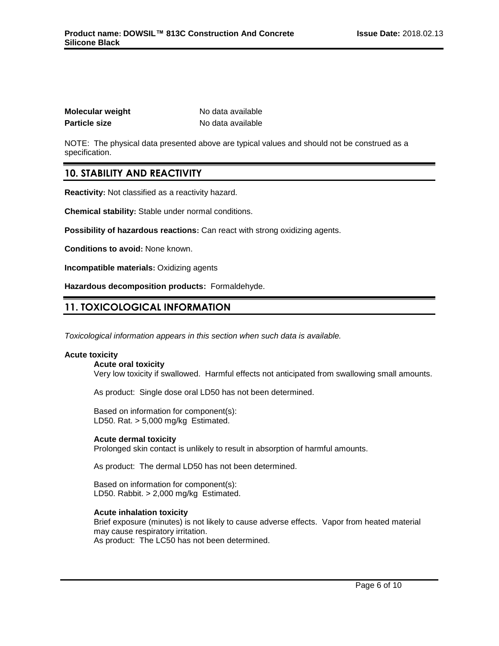| Molecular weight     |  |
|----------------------|--|
| <b>Particle size</b> |  |

**No data available Particle size** No data available

NOTE: The physical data presented above are typical values and should not be construed as a specification.

# **10. STABILITY AND REACTIVITY**

**Reactivity:** Not classified as a reactivity hazard.

**Chemical stability:** Stable under normal conditions.

**Possibility of hazardous reactions:** Can react with strong oxidizing agents.

**Conditions to avoid:** None known.

**Incompatible materials:** Oxidizing agents

**Hazardous decomposition products:** Formaldehyde.

# **11. TOXICOLOGICAL INFORMATION**

*Toxicological information appears in this section when such data is available.*

#### **Acute toxicity**

**Acute oral toxicity** Very low toxicity if swallowed. Harmful effects not anticipated from swallowing small amounts.

As product: Single dose oral LD50 has not been determined.

Based on information for component(s): LD50. Rat. > 5,000 mg/kg Estimated.

#### **Acute dermal toxicity**

Prolonged skin contact is unlikely to result in absorption of harmful amounts.

As product: The dermal LD50 has not been determined.

Based on information for component(s): LD50. Rabbit. > 2,000 mg/kg Estimated.

#### **Acute inhalation toxicity**

Brief exposure (minutes) is not likely to cause adverse effects. Vapor from heated material may cause respiratory irritation. As product: The LC50 has not been determined.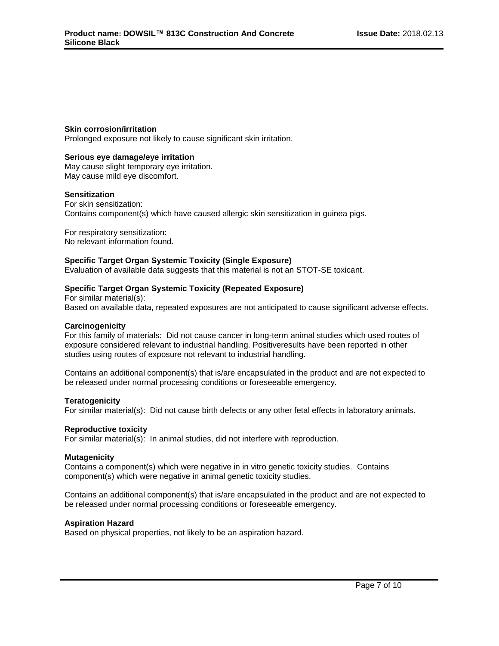#### **Skin corrosion/irritation**

Prolonged exposure not likely to cause significant skin irritation.

#### **Serious eye damage/eye irritation**

May cause slight temporary eye irritation. May cause mild eye discomfort.

#### **Sensitization**

For skin sensitization: Contains component(s) which have caused allergic skin sensitization in guinea pigs.

For respiratory sensitization: No relevant information found.

#### **Specific Target Organ Systemic Toxicity (Single Exposure)**

Evaluation of available data suggests that this material is not an STOT-SE toxicant.

#### **Specific Target Organ Systemic Toxicity (Repeated Exposure)**

For similar material(s): Based on available data, repeated exposures are not anticipated to cause significant adverse effects.

#### **Carcinogenicity**

For this family of materials: Did not cause cancer in long-term animal studies which used routes of exposure considered relevant to industrial handling. Positiveresults have been reported in other studies using routes of exposure not relevant to industrial handling.

Contains an additional component(s) that is/are encapsulated in the product and are not expected to be released under normal processing conditions or foreseeable emergency.

#### **Teratogenicity**

For similar material(s): Did not cause birth defects or any other fetal effects in laboratory animals.

#### **Reproductive toxicity**

For similar material(s): In animal studies, did not interfere with reproduction.

#### **Mutagenicity**

Contains a component(s) which were negative in in vitro genetic toxicity studies. Contains component(s) which were negative in animal genetic toxicity studies.

Contains an additional component(s) that is/are encapsulated in the product and are not expected to be released under normal processing conditions or foreseeable emergency.

#### **Aspiration Hazard**

Based on physical properties, not likely to be an aspiration hazard.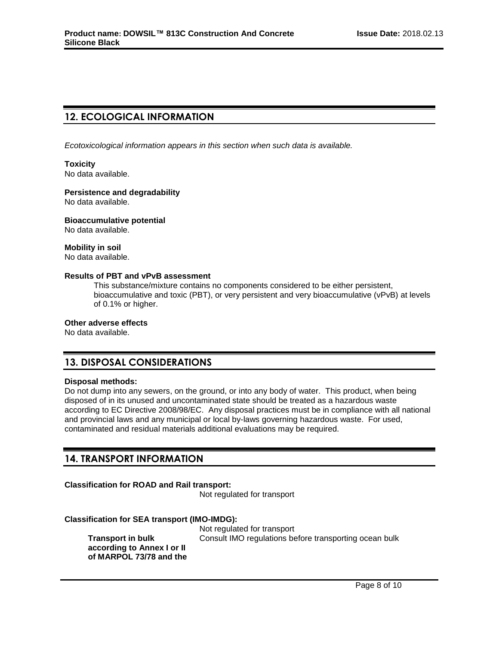# **12. ECOLOGICAL INFORMATION**

*Ecotoxicological information appears in this section when such data is available.*

### **Toxicity**

No data available.

#### **Persistence and degradability**

No data available.

#### **Bioaccumulative potential**

No data available.

#### **Mobility in soil**

No data available.

#### **Results of PBT and vPvB assessment**

This substance/mixture contains no components considered to be either persistent, bioaccumulative and toxic (PBT), or very persistent and very bioaccumulative (vPvB) at levels of 0.1% or higher.

#### **Other adverse effects**

No data available.

# **13. DISPOSAL CONSIDERATIONS**

#### **Disposal methods:**

Do not dump into any sewers, on the ground, or into any body of water. This product, when being disposed of in its unused and uncontaminated state should be treated as a hazardous waste according to EC Directive 2008/98/EC. Any disposal practices must be in compliance with all national and provincial laws and any municipal or local by-laws governing hazardous waste. For used, contaminated and residual materials additional evaluations may be required.

### **14. TRANSPORT INFORMATION**

### **Classification for ROAD and Rail transport:**

Not regulated for transport

#### **Classification for SEA transport (IMO-IMDG):**

**Transport in bulk according to Annex I or II of MARPOL 73/78 and the**  Not regulated for transport Consult IMO regulations before transporting ocean bulk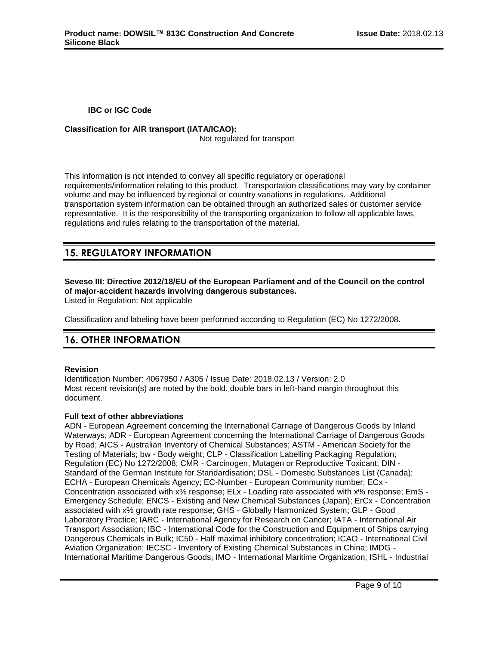**IBC or IGC Code**

### **Classification for AIR transport (IATA/ICAO):**

Not regulated for transport

This information is not intended to convey all specific regulatory or operational requirements/information relating to this product. Transportation classifications may vary by container volume and may be influenced by regional or country variations in regulations. Additional transportation system information can be obtained through an authorized sales or customer service representative. It is the responsibility of the transporting organization to follow all applicable laws, regulations and rules relating to the transportation of the material.

# **15. REGULATORY INFORMATION**

**Seveso III: Directive 2012/18/EU of the European Parliament and of the Council on the control of major-accident hazards involving dangerous substances.**

Listed in Regulation: Not applicable

Classification and labeling have been performed according to Regulation (EC) No 1272/2008.

# **16. OTHER INFORMATION**

#### **Revision**

Identification Number: 4067950 / A305 / Issue Date: 2018.02.13 / Version: 2.0 Most recent revision(s) are noted by the bold, double bars in left-hand margin throughout this document.

#### **Full text of other abbreviations**

ADN - European Agreement concerning the International Carriage of Dangerous Goods by Inland Waterways; ADR - European Agreement concerning the International Carriage of Dangerous Goods by Road; AICS - Australian Inventory of Chemical Substances; ASTM - American Society for the Testing of Materials; bw - Body weight; CLP - Classification Labelling Packaging Regulation; Regulation (EC) No 1272/2008; CMR - Carcinogen, Mutagen or Reproductive Toxicant; DIN - Standard of the German Institute for Standardisation; DSL - Domestic Substances List (Canada); ECHA - European Chemicals Agency; EC-Number - European Community number; ECx - Concentration associated with x% response; ELx - Loading rate associated with x% response; EmS - Emergency Schedule; ENCS - Existing and New Chemical Substances (Japan); ErCx - Concentration associated with x% growth rate response; GHS - Globally Harmonized System; GLP - Good Laboratory Practice; IARC - International Agency for Research on Cancer; IATA - International Air Transport Association; IBC - International Code for the Construction and Equipment of Ships carrying Dangerous Chemicals in Bulk; IC50 - Half maximal inhibitory concentration; ICAO - International Civil Aviation Organization; IECSC - Inventory of Existing Chemical Substances in China; IMDG - International Maritime Dangerous Goods; IMO - International Maritime Organization; ISHL - Industrial